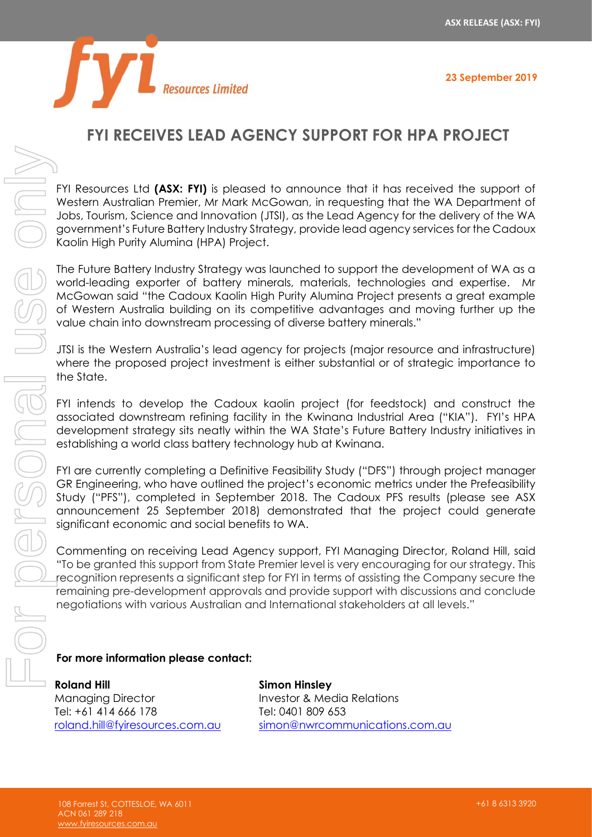**23 September 2019**



## **FYI RECEIVES LEAD AGENCY SUPPORT FOR HPA PROJECT**

FYI Resources Ltd **(ASX: FYI)** is pleased to announce that it has received the support of Western Australian Premier, Mr Mark McGowan, in requesting that the WA Department of Jobs, Tourism, Science and Innovation (JTSI), as the Lead Agency for the delivery of the WA government's Future Battery Industry Strategy, provide lead agency services for the Cadoux Kaolin High Purity Alumina (HPA) Project.

The Future Battery Industry Strategy was launched to support the development of WA as a world-leading exporter of battery minerals, materials, technologies and expertise. Mr McGowan said "the Cadoux Kaolin High Purity Alumina Project presents a great example of Western Australia building on its competitive advantages and moving further up the value chain into downstream processing of diverse battery minerals."

JTSI is the Western Australia's lead agency for projects (major resource and infrastructure) where the proposed project investment is either substantial or of strategic importance to the State.

FYI intends to develop the Cadoux kaolin project (for feedstock) and construct the associated downstream refining facility in the Kwinana Industrial Area ("KIA"). FYI's HPA development strategy sits neatly within the WA State's Future Battery Industry initiatives in establishing a world class battery technology hub at Kwinana.

FYI are currently completing a Definitive Feasibility Study ("DFS") through project manager GR Engineering, who have outlined the project's economic metrics under the Prefeasibility Study ("PFS"), completed in September 2018. The Cadoux PFS results (please see ASX announcement 25 September 2018) demonstrated that the project could generate significant economic and social benefits to WA.

Commenting on receiving Lead Agency support, FYI Managing Director, Roland Hill, said "To be granted this support from State Premier level is very encouraging for our strategy. This recognition represents a significant step for FYI in terms of assisting the Company secure the remaining pre-development approvals and provide support with discussions and conclude negotiations with various Australian and International stakeholders at all levels."

## **For more information please contact:**

**Roland Hill** Managing Director Tel: +61 414 666 178 [roland.hill@fyiresources.com.au](mailto:roland.hill@fyiresources.com.au) **Simon Hinsley** Investor & Media Relations Tel: 0401 809 653 [simon@nwrcommunications.com.au](mailto:simon@nwrcommunications.com.au)